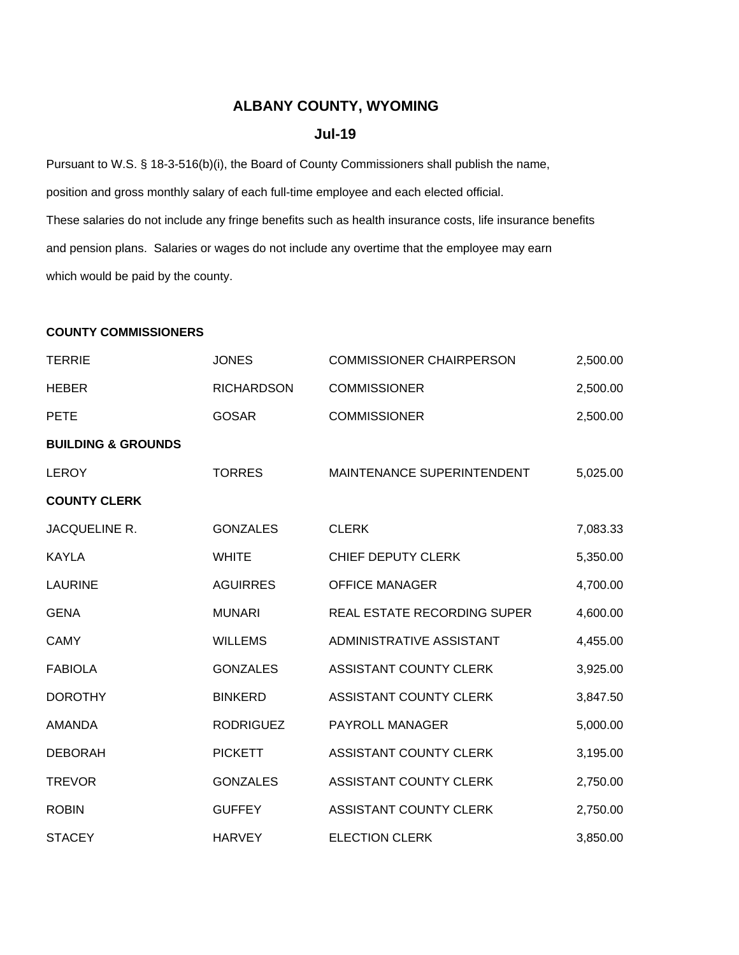# **ALBANY COUNTY, WYOMING**

#### **Jul-19**

Pursuant to W.S. § 18-3-516(b)(i), the Board of County Commissioners shall publish the name, position and gross monthly salary of each full-time employee and each elected official. These salaries do not include any fringe benefits such as health insurance costs, life insurance benefits and pension plans. Salaries or wages do not include any overtime that the employee may earn which would be paid by the county.

### **COUNTY COMMISSIONERS**

| <b>TERRIE</b>                 | <b>JONES</b>      | <b>COMMISSIONER CHAIRPERSON</b> | 2,500.00 |
|-------------------------------|-------------------|---------------------------------|----------|
| <b>HEBER</b>                  | <b>RICHARDSON</b> | <b>COMMISSIONER</b>             | 2,500.00 |
| <b>PETE</b>                   | <b>GOSAR</b>      | <b>COMMISSIONER</b>             | 2,500.00 |
| <b>BUILDING &amp; GROUNDS</b> |                   |                                 |          |
| <b>LEROY</b>                  | <b>TORRES</b>     | MAINTENANCE SUPERINTENDENT      | 5,025.00 |
| <b>COUNTY CLERK</b>           |                   |                                 |          |
| JACQUELINE R.                 | <b>GONZALES</b>   | <b>CLERK</b>                    | 7,083.33 |
| KAYLA                         | <b>WHITE</b>      | CHIEF DEPUTY CLERK              | 5,350.00 |
| <b>LAURINE</b>                | <b>AGUIRRES</b>   | <b>OFFICE MANAGER</b>           | 4,700.00 |
| <b>GENA</b>                   | <b>MUNARI</b>     | REAL ESTATE RECORDING SUPER     | 4,600.00 |
| <b>CAMY</b>                   | <b>WILLEMS</b>    | ADMINISTRATIVE ASSISTANT        | 4,455.00 |
| <b>FABIOLA</b>                | <b>GONZALES</b>   | ASSISTANT COUNTY CLERK          | 3,925.00 |
| <b>DOROTHY</b>                | <b>BINKERD</b>    | <b>ASSISTANT COUNTY CLERK</b>   | 3,847.50 |
| <b>AMANDA</b>                 | <b>RODRIGUEZ</b>  | PAYROLL MANAGER                 | 5,000.00 |
| <b>DEBORAH</b>                | <b>PICKETT</b>    | <b>ASSISTANT COUNTY CLERK</b>   | 3,195.00 |
| <b>TREVOR</b>                 | <b>GONZALES</b>   | <b>ASSISTANT COUNTY CLERK</b>   | 2,750.00 |
| <b>ROBIN</b>                  | <b>GUFFEY</b>     | <b>ASSISTANT COUNTY CLERK</b>   | 2,750.00 |
| <b>STACEY</b>                 | <b>HARVEY</b>     | <b>ELECTION CLERK</b>           | 3,850.00 |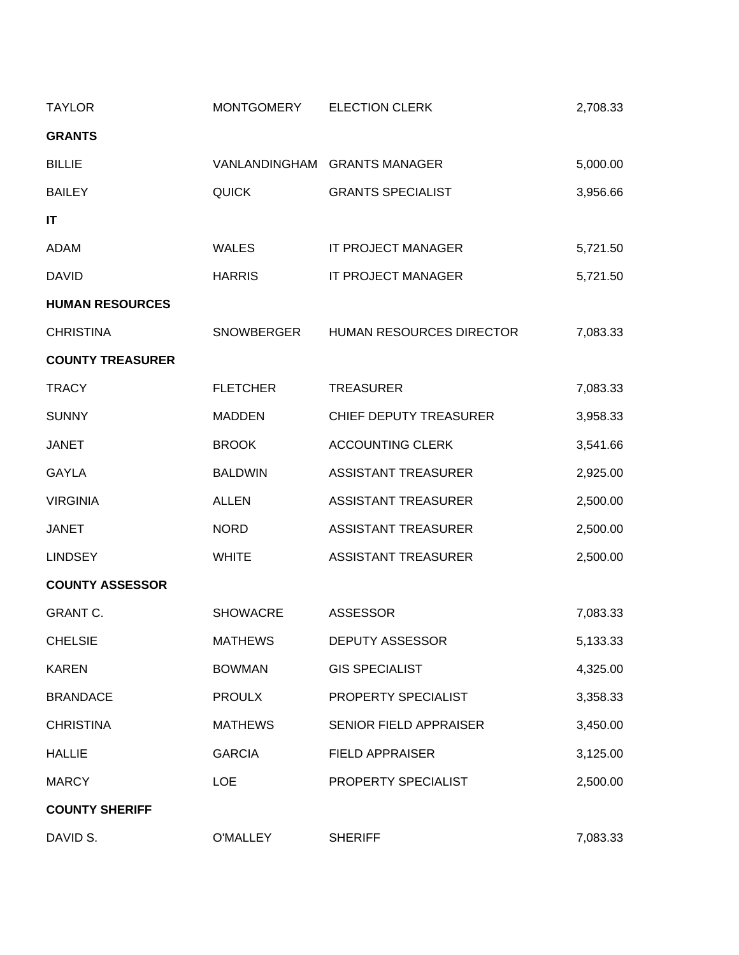| <b>TAYLOR</b>           | MONTGOMERY      | <b>ELECTION CLERK</b>               | 2,708.33 |
|-------------------------|-----------------|-------------------------------------|----------|
| <b>GRANTS</b>           |                 |                                     |          |
| <b>BILLIE</b>           |                 | VANLANDINGHAM GRANTS MANAGER        | 5,000.00 |
| <b>BAILEY</b>           | <b>QUICK</b>    | <b>GRANTS SPECIALIST</b>            | 3,956.66 |
| IT                      |                 |                                     |          |
| <b>ADAM</b>             | <b>WALES</b>    | IT PROJECT MANAGER                  | 5,721.50 |
| <b>DAVID</b>            | <b>HARRIS</b>   | IT PROJECT MANAGER                  | 5,721.50 |
| <b>HUMAN RESOURCES</b>  |                 |                                     |          |
| <b>CHRISTINA</b>        |                 | SNOWBERGER HUMAN RESOURCES DIRECTOR | 7,083.33 |
| <b>COUNTY TREASURER</b> |                 |                                     |          |
| <b>TRACY</b>            | <b>FLETCHER</b> | <b>TREASURER</b>                    | 7,083.33 |
| <b>SUNNY</b>            | <b>MADDEN</b>   | CHIEF DEPUTY TREASURER              | 3,958.33 |
| <b>JANET</b>            | <b>BROOK</b>    | <b>ACCOUNTING CLERK</b>             | 3,541.66 |
| <b>GAYLA</b>            | <b>BALDWIN</b>  | <b>ASSISTANT TREASURER</b>          | 2,925.00 |
| <b>VIRGINIA</b>         | <b>ALLEN</b>    | <b>ASSISTANT TREASURER</b>          | 2,500.00 |
| <b>JANET</b>            | <b>NORD</b>     | <b>ASSISTANT TREASURER</b>          | 2,500.00 |
| <b>LINDSEY</b>          | <b>WHITE</b>    | <b>ASSISTANT TREASURER</b>          | 2,500.00 |
| <b>COUNTY ASSESSOR</b>  |                 |                                     |          |
| <b>GRANT C.</b>         | <b>SHOWACRE</b> | <b>ASSESSOR</b>                     | 7,083.33 |
| <b>CHELSIE</b>          | <b>MATHEWS</b>  | <b>DEPUTY ASSESSOR</b>              | 5,133.33 |
| <b>KAREN</b>            | <b>BOWMAN</b>   | <b>GIS SPECIALIST</b>               | 4,325.00 |
| <b>BRANDACE</b>         | <b>PROULX</b>   | PROPERTY SPECIALIST                 | 3,358.33 |
| <b>CHRISTINA</b>        | <b>MATHEWS</b>  | <b>SENIOR FIELD APPRAISER</b>       | 3,450.00 |
| <b>HALLIE</b>           | <b>GARCIA</b>   | <b>FIELD APPRAISER</b>              | 3,125.00 |
| <b>MARCY</b>            | <b>LOE</b>      | PROPERTY SPECIALIST                 | 2,500.00 |
| <b>COUNTY SHERIFF</b>   |                 |                                     |          |
| DAVID S.                | O'MALLEY        | <b>SHERIFF</b>                      | 7,083.33 |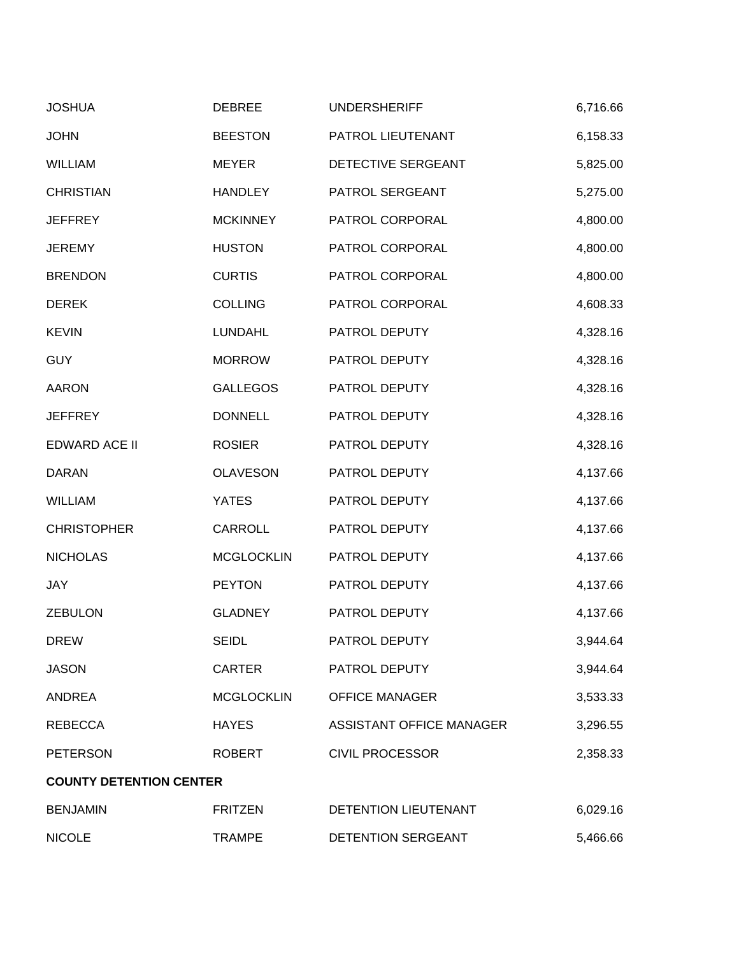| <b>JOSHUA</b>                  | <b>DEBREE</b>     | <b>UNDERSHERIFF</b>      | 6,716.66 |
|--------------------------------|-------------------|--------------------------|----------|
| <b>JOHN</b>                    | <b>BEESTON</b>    | PATROL LIEUTENANT        | 6,158.33 |
| <b>WILLIAM</b>                 | <b>MEYER</b>      | DETECTIVE SERGEANT       | 5,825.00 |
| <b>CHRISTIAN</b>               | <b>HANDLEY</b>    | PATROL SERGEANT          | 5,275.00 |
| <b>JEFFREY</b>                 | <b>MCKINNEY</b>   | PATROL CORPORAL          | 4,800.00 |
| <b>JEREMY</b>                  | <b>HUSTON</b>     | PATROL CORPORAL          | 4,800.00 |
| <b>BRENDON</b>                 | <b>CURTIS</b>     | PATROL CORPORAL          | 4,800.00 |
| <b>DEREK</b>                   | <b>COLLING</b>    | PATROL CORPORAL          | 4,608.33 |
| <b>KEVIN</b>                   | <b>LUNDAHL</b>    | PATROL DEPUTY            | 4,328.16 |
| <b>GUY</b>                     | <b>MORROW</b>     | PATROL DEPUTY            | 4,328.16 |
| <b>AARON</b>                   | <b>GALLEGOS</b>   | PATROL DEPUTY            | 4,328.16 |
| <b>JEFFREY</b>                 | <b>DONNELL</b>    | PATROL DEPUTY            | 4,328.16 |
| <b>EDWARD ACE II</b>           | <b>ROSIER</b>     | PATROL DEPUTY            | 4,328.16 |
| <b>DARAN</b>                   | <b>OLAVESON</b>   | PATROL DEPUTY            | 4,137.66 |
| <b>WILLIAM</b>                 | <b>YATES</b>      | PATROL DEPUTY            | 4,137.66 |
| <b>CHRISTOPHER</b>             | CARROLL           | PATROL DEPUTY            | 4,137.66 |
| <b>NICHOLAS</b>                | <b>MCGLOCKLIN</b> | PATROL DEPUTY            | 4,137.66 |
| JAY                            | <b>PEYTON</b>     | PATROL DEPUTY            | 4,137.66 |
| <b>ZEBULON</b>                 | <b>GLADNEY</b>    | PATROL DEPUTY            | 4,137.66 |
| <b>DREW</b>                    | <b>SEIDL</b>      | PATROL DEPUTY            | 3,944.64 |
| <b>JASON</b>                   | <b>CARTER</b>     | PATROL DEPUTY            | 3,944.64 |
| <b>ANDREA</b>                  | <b>MCGLOCKLIN</b> | <b>OFFICE MANAGER</b>    | 3,533.33 |
| <b>REBECCA</b>                 | <b>HAYES</b>      | ASSISTANT OFFICE MANAGER | 3,296.55 |
| <b>PETERSON</b>                | <b>ROBERT</b>     | <b>CIVIL PROCESSOR</b>   | 2,358.33 |
| <b>COUNTY DETENTION CENTER</b> |                   |                          |          |
| <b>BENJAMIN</b>                | <b>FRITZEN</b>    | DETENTION LIEUTENANT     | 6,029.16 |
| <b>NICOLE</b>                  | <b>TRAMPE</b>     | DETENTION SERGEANT       | 5,466.66 |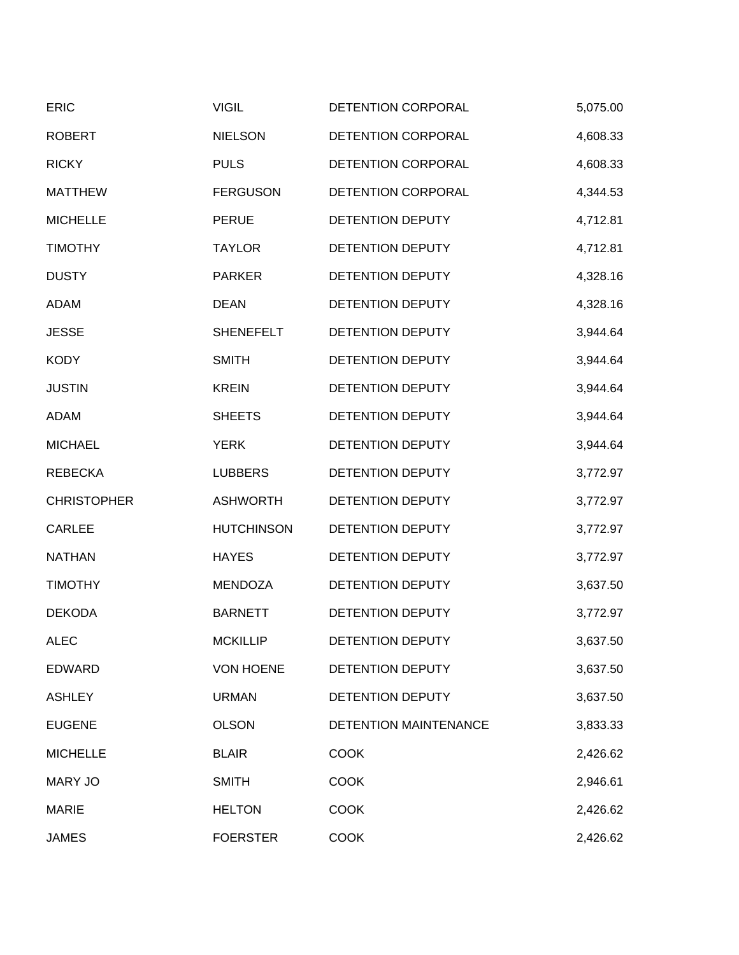| <b>ERIC</b>        | <b>VIGIL</b>      | DETENTION CORPORAL           | 5,075.00 |
|--------------------|-------------------|------------------------------|----------|
| <b>ROBERT</b>      | <b>NIELSON</b>    | DETENTION CORPORAL           | 4,608.33 |
| <b>RICKY</b>       | <b>PULS</b>       | DETENTION CORPORAL           | 4,608.33 |
| <b>MATTHEW</b>     | <b>FERGUSON</b>   | DETENTION CORPORAL           | 4,344.53 |
| <b>MICHELLE</b>    | <b>PERUE</b>      | DETENTION DEPUTY             | 4,712.81 |
| <b>TIMOTHY</b>     | <b>TAYLOR</b>     | DETENTION DEPUTY             | 4,712.81 |
| <b>DUSTY</b>       | <b>PARKER</b>     | DETENTION DEPUTY             | 4,328.16 |
| <b>ADAM</b>        | <b>DEAN</b>       | DETENTION DEPUTY             | 4,328.16 |
| <b>JESSE</b>       | <b>SHENEFELT</b>  | DETENTION DEPUTY             | 3,944.64 |
| <b>KODY</b>        | <b>SMITH</b>      | DETENTION DEPUTY             | 3,944.64 |
| <b>JUSTIN</b>      | <b>KREIN</b>      | <b>DETENTION DEPUTY</b>      | 3,944.64 |
| ADAM               | <b>SHEETS</b>     | DETENTION DEPUTY             | 3,944.64 |
| <b>MICHAEL</b>     | <b>YERK</b>       | DETENTION DEPUTY             | 3,944.64 |
| <b>REBECKA</b>     | <b>LUBBERS</b>    | DETENTION DEPUTY             | 3,772.97 |
| <b>CHRISTOPHER</b> | <b>ASHWORTH</b>   | DETENTION DEPUTY             | 3,772.97 |
| <b>CARLEE</b>      | <b>HUTCHINSON</b> | DETENTION DEPUTY             | 3,772.97 |
| <b>NATHAN</b>      | <b>HAYES</b>      | DETENTION DEPUTY             | 3,772.97 |
| <b>TIMOTHY</b>     | <b>MENDOZA</b>    | DETENTION DEPUTY             | 3,637.50 |
| <b>DEKODA</b>      | <b>BARNETT</b>    | DETENTION DEPUTY             | 3,772.97 |
| <b>ALEC</b>        | <b>MCKILLIP</b>   | DETENTION DEPUTY             | 3,637.50 |
| <b>EDWARD</b>      | <b>VON HOENE</b>  | DETENTION DEPUTY             | 3,637.50 |
| <b>ASHLEY</b>      | <b>URMAN</b>      | DETENTION DEPUTY             | 3,637.50 |
| <b>EUGENE</b>      | <b>OLSON</b>      | <b>DETENTION MAINTENANCE</b> | 3,833.33 |
| <b>MICHELLE</b>    | <b>BLAIR</b>      | <b>COOK</b>                  | 2,426.62 |
| <b>MARY JO</b>     | <b>SMITH</b>      | <b>COOK</b>                  | 2,946.61 |
| <b>MARIE</b>       | <b>HELTON</b>     | <b>COOK</b>                  | 2,426.62 |
| <b>JAMES</b>       | <b>FOERSTER</b>   | <b>COOK</b>                  | 2,426.62 |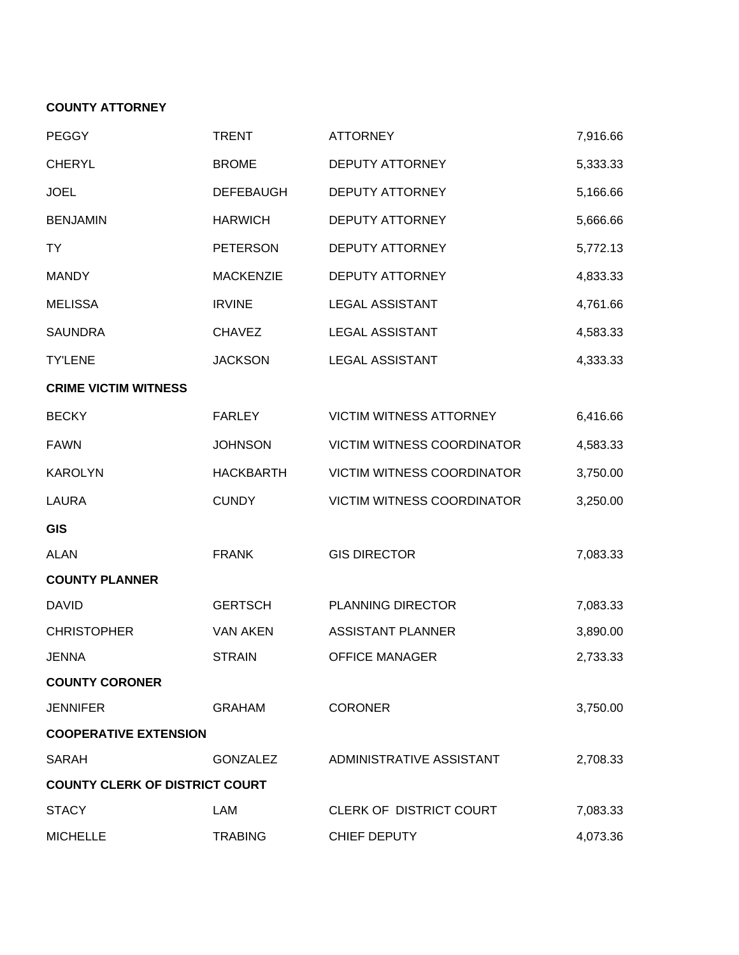# **COUNTY ATTORNEY**

| <b>PEGGY</b>                          | <b>TRENT</b>     | <b>ATTORNEY</b>                   | 7,916.66 |
|---------------------------------------|------------------|-----------------------------------|----------|
| <b>CHERYL</b>                         | <b>BROME</b>     | DEPUTY ATTORNEY                   | 5,333.33 |
| <b>JOEL</b>                           | <b>DEFEBAUGH</b> | <b>DEPUTY ATTORNEY</b>            | 5,166.66 |
| <b>BENJAMIN</b>                       | <b>HARWICH</b>   | <b>DEPUTY ATTORNEY</b>            | 5,666.66 |
| TY                                    | <b>PETERSON</b>  | <b>DEPUTY ATTORNEY</b>            | 5,772.13 |
| <b>MANDY</b>                          | <b>MACKENZIE</b> | <b>DEPUTY ATTORNEY</b>            | 4,833.33 |
| <b>MELISSA</b>                        | <b>IRVINE</b>    | <b>LEGAL ASSISTANT</b>            | 4,761.66 |
| <b>SAUNDRA</b>                        | <b>CHAVEZ</b>    | <b>LEGAL ASSISTANT</b>            | 4,583.33 |
| <b>TY'LENE</b>                        | <b>JACKSON</b>   | <b>LEGAL ASSISTANT</b>            | 4,333.33 |
| <b>CRIME VICTIM WITNESS</b>           |                  |                                   |          |
| <b>BECKY</b>                          | <b>FARLEY</b>    | <b>VICTIM WITNESS ATTORNEY</b>    | 6,416.66 |
| <b>FAWN</b>                           | <b>JOHNSON</b>   | <b>VICTIM WITNESS COORDINATOR</b> | 4,583.33 |
| <b>KAROLYN</b>                        | <b>HACKBARTH</b> | <b>VICTIM WITNESS COORDINATOR</b> | 3,750.00 |
| <b>LAURA</b>                          | <b>CUNDY</b>     | <b>VICTIM WITNESS COORDINATOR</b> | 3,250.00 |
| <b>GIS</b>                            |                  |                                   |          |
| <b>ALAN</b>                           | <b>FRANK</b>     | <b>GIS DIRECTOR</b>               | 7,083.33 |
| <b>COUNTY PLANNER</b>                 |                  |                                   |          |
| <b>DAVID</b>                          | <b>GERTSCH</b>   | PLANNING DIRECTOR                 | 7,083.33 |
| <b>CHRISTOPHER</b>                    | <b>VAN AKEN</b>  | <b>ASSISTANT PLANNER</b>          | 3,890.00 |
| <b>JENNA</b>                          | <b>STRAIN</b>    | <b>OFFICE MANAGER</b>             | 2,733.33 |
| <b>COUNTY CORONER</b>                 |                  |                                   |          |
| <b>JENNIFER</b>                       | <b>GRAHAM</b>    | <b>CORONER</b>                    | 3,750.00 |
| <b>COOPERATIVE EXTENSION</b>          |                  |                                   |          |
| <b>SARAH</b>                          | <b>GONZALEZ</b>  | ADMINISTRATIVE ASSISTANT          | 2,708.33 |
| <b>COUNTY CLERK OF DISTRICT COURT</b> |                  |                                   |          |
| <b>STACY</b>                          | LAM              | CLERK OF DISTRICT COURT           | 7,083.33 |
| <b>MICHELLE</b>                       | <b>TRABING</b>   | CHIEF DEPUTY                      | 4,073.36 |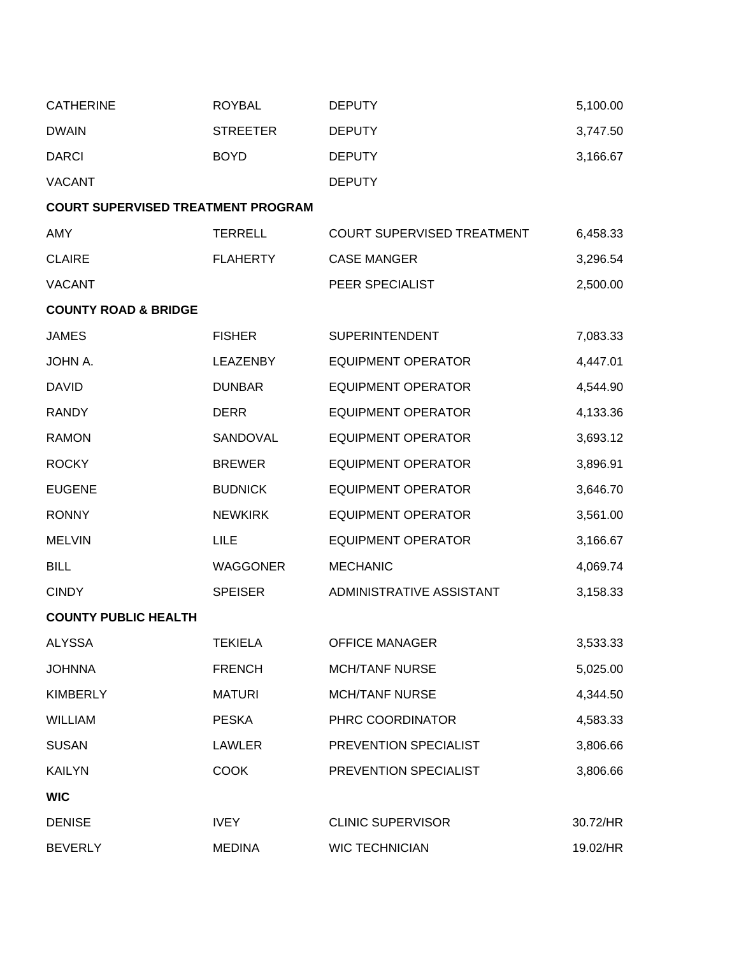| <b>CATHERINE</b>                          | <b>ROYBAL</b>   | <b>DEPUTY</b>              | 5,100.00 |
|-------------------------------------------|-----------------|----------------------------|----------|
| <b>DWAIN</b>                              | <b>STREETER</b> | <b>DEPUTY</b>              | 3,747.50 |
| <b>DARCI</b>                              | <b>BOYD</b>     | <b>DEPUTY</b>              | 3,166.67 |
| <b>VACANT</b>                             |                 | <b>DEPUTY</b>              |          |
| <b>COURT SUPERVISED TREATMENT PROGRAM</b> |                 |                            |          |
| AMY                                       | <b>TERRELL</b>  | COURT SUPERVISED TREATMENT | 6,458.33 |
| <b>CLAIRE</b>                             | <b>FLAHERTY</b> | <b>CASE MANGER</b>         | 3,296.54 |
| <b>VACANT</b>                             |                 | PEER SPECIALIST            | 2,500.00 |
| <b>COUNTY ROAD &amp; BRIDGE</b>           |                 |                            |          |
| <b>JAMES</b>                              | <b>FISHER</b>   | <b>SUPERINTENDENT</b>      | 7,083.33 |
| JOHN A.                                   | <b>LEAZENBY</b> | <b>EQUIPMENT OPERATOR</b>  | 4,447.01 |
| <b>DAVID</b>                              | <b>DUNBAR</b>   | <b>EQUIPMENT OPERATOR</b>  | 4,544.90 |
| <b>RANDY</b>                              | <b>DERR</b>     | <b>EQUIPMENT OPERATOR</b>  | 4,133.36 |
| <b>RAMON</b>                              | SANDOVAL        | <b>EQUIPMENT OPERATOR</b>  | 3,693.12 |
| <b>ROCKY</b>                              | <b>BREWER</b>   | <b>EQUIPMENT OPERATOR</b>  | 3,896.91 |
| <b>EUGENE</b>                             | <b>BUDNICK</b>  | <b>EQUIPMENT OPERATOR</b>  | 3,646.70 |
| <b>RONNY</b>                              | <b>NEWKIRK</b>  | <b>EQUIPMENT OPERATOR</b>  | 3,561.00 |
| <b>MELVIN</b>                             | LILE            | <b>EQUIPMENT OPERATOR</b>  | 3,166.67 |
| <b>BILL</b>                               | <b>WAGGONER</b> | <b>MECHANIC</b>            | 4,069.74 |
| <b>CINDY</b>                              | <b>SPEISER</b>  | ADMINISTRATIVE ASSISTANT   | 3,158.33 |
| <b>COUNTY PUBLIC HEALTH</b>               |                 |                            |          |
| <b>ALYSSA</b>                             | <b>TEKIELA</b>  | <b>OFFICE MANAGER</b>      | 3,533.33 |
| <b>JOHNNA</b>                             | <b>FRENCH</b>   | <b>MCH/TANF NURSE</b>      | 5,025.00 |
| <b>KIMBERLY</b>                           | <b>MATURI</b>   | <b>MCH/TANF NURSE</b>      | 4,344.50 |
| <b>WILLIAM</b>                            | <b>PESKA</b>    | PHRC COORDINATOR           | 4,583.33 |
| <b>SUSAN</b>                              | LAWLER          | PREVENTION SPECIALIST      | 3,806.66 |
| <b>KAILYN</b>                             | <b>COOK</b>     | PREVENTION SPECIALIST      | 3,806.66 |
| <b>WIC</b>                                |                 |                            |          |
| <b>DENISE</b>                             | <b>IVEY</b>     | <b>CLINIC SUPERVISOR</b>   | 30.72/HR |
| <b>BEVERLY</b>                            | <b>MEDINA</b>   | <b>WIC TECHNICIAN</b>      | 19.02/HR |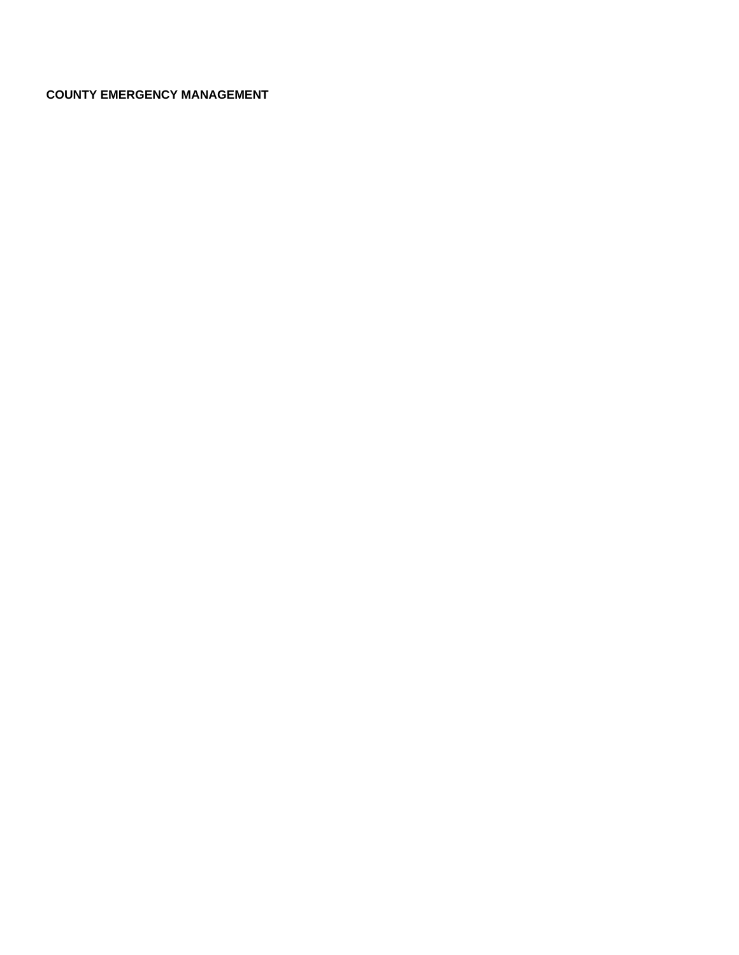# **COUNTY EMERGENCY MANAGEMENT**